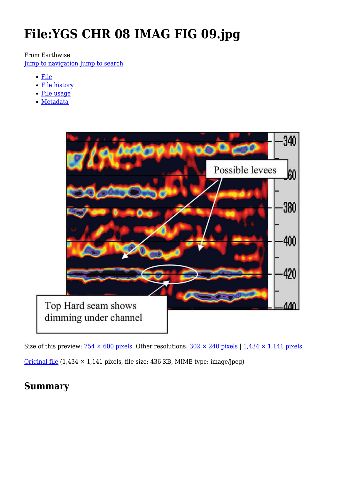# **File:YGS CHR 08 IMAG FIG 09.jpg**

#### From Earthwise [Jump to navigation](#page--1-0) [Jump to search](#page--1-0)

- [File](#page--1-0)
- [File history](#page--1-0)
- [File usage](#page--1-0)
- [Metadata](#page--1-0)



Size of this preview:  $754 \times 600$  pixels. Other resolutions:  $302 \times 240$  pixels | 1,434  $\times$  1,141 pixels.

[Original file](http://earthwise.bgs.ac.uk/images/d/d8/YGS_CHR_08_IMAG_FIG_09.jpg) (1,434 × 1,141 pixels, file size: 436 KB, MIME type: image/jpeg)

# **Summary**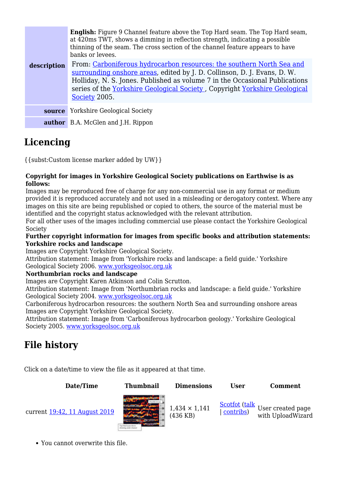|             | <b>English:</b> Figure 9 Channel feature above the Top Hard seam. The Top Hard seam,<br>at 420 ms TWT, shows a dimming in reflection strength, indicating a possible<br>thinning of the seam. The cross section of the channel feature appears to have<br>banks or levees.                                                      |
|-------------|---------------------------------------------------------------------------------------------------------------------------------------------------------------------------------------------------------------------------------------------------------------------------------------------------------------------------------|
| description | From: Carboniferous hydrocarbon resources: the southern North Sea and<br>surrounding onshore areas, edited by J. D. Collinson, D. J. Evans, D. W.<br>Holliday, N. S. Jones. Published as volume 7 in the Occasional Publications<br>series of the Yorkshire Geological Society, Copyright Yorkshire Geological<br>Society 2005. |
| source      | <b>Yorkshire Geological Society</b>                                                                                                                                                                                                                                                                                             |
|             | <b>author</b> B.A. McGlen and J.H. Rippon                                                                                                                                                                                                                                                                                       |

# **Licencing**

{{subst:Custom license marker added by UW}}

#### **Copyright for images in Yorkshire Geological Society publications on Earthwise is as follows:**

Images may be reproduced free of charge for any non-commercial use in any format or medium provided it is reproduced accurately and not used in a misleading or derogatory context. Where any images on this site are being republished or copied to others, the source of the material must be identified and the copyright status acknowledged with the relevant attribution.

For all other uses of the images including commercial use please contact the Yorkshire Geological Society

#### **Further copyright information for images from specific books and attribution statements: Yorkshire rocks and landscape**

Images are Copyright Yorkshire Geological Society.

Attribution statement: Image from 'Yorkshire rocks and landscape: a field guide.' Yorkshire Geological Society 2006. [www.yorksgeolsoc.org.uk](http://www.yorksgeolsoc.org.uk)

#### **Northumbrian rocks and landscape**

Images are Copyright Karen Atkinson and Colin Scrutton.

Attribution statement: Image from 'Northumbrian rocks and landscape: a field guide.' Yorkshire Geological Society 2004. [www.yorksgeolsoc.org.uk](http://www.yorksgeolsoc.org.uk)

Carboniferous hydrocarbon resources: the southern North Sea and surrounding onshore areas Images are Copyright Yorkshire Geological Society.

Attribution statement: Image from 'Carboniferous hydrocarbon geology.' Yorkshire Geological Society 2005. [www.yorksgeolsoc.org.uk](http://www.yorksgeolsoc.org.uk)

# **File history**

Click on a date/time to view the file as it appeared at that time.

| Date/Time                     | <b>Thumbnail</b> | <b>Dimensions</b>                  | <b>User</b> | Comment                                                                        |
|-------------------------------|------------------|------------------------------------|-------------|--------------------------------------------------------------------------------|
| current 19:42, 11 August 2019 |                  | $1,434 \times 1,141$<br>$(436$ KB) | contribs)   | $\frac{\text{Scottot (talk}}{\text{1}}$ User created page<br>with UploadWizard |

You cannot overwrite this file.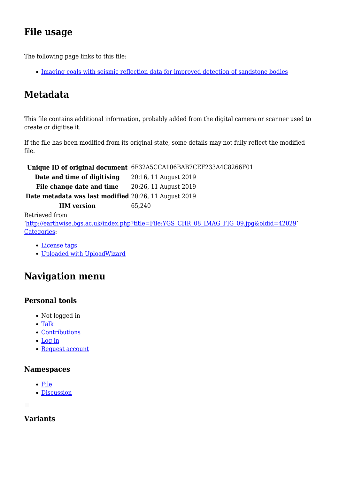# **File usage**

The following page links to this file:

• [Imaging coals with seismic reflection data for improved detection of sandstone bodies](http://earthwise.bgs.ac.uk/index.php/Imaging_coals_with_seismic_reflection_data_for_improved_detection_of_sandstone_bodies)

# **Metadata**

This file contains additional information, probably added from the digital camera or scanner used to create or digitise it.

If the file has been modified from its original state, some details may not fully reflect the modified file.

**Unique ID of original document** 6F32A5CCA106BAB7CEF233A4C8266F01 **Date and time of digitising** 20:16, 11 August 2019 File change date and time 20:26, 11 August 2019

**Date metadata was last modified** 20:26, 11 August 2019

**IIM version** 65,240

Retrieved from

'[http://earthwise.bgs.ac.uk/index.php?title=File:YGS\\_CHR\\_08\\_IMAG\\_FIG\\_09.jpg&oldid=42029'](http://earthwise.bgs.ac.uk/index.php?title=File:YGS_CHR_08_IMAG_FIG_09.jpg&oldid=42029) [Categories:](http://earthwise.bgs.ac.uk/index.php/Special:Categories)

- [License tags](http://earthwise.bgs.ac.uk/index.php/Category:License_tags)
- [Uploaded with UploadWizard](http://earthwise.bgs.ac.uk/index.php/Category:Uploaded_with_UploadWizard)

# **Navigation menu**

### **Personal tools**

- Not logged in
- [Talk](http://earthwise.bgs.ac.uk/index.php/Special:MyTalk)
- [Contributions](http://earthwise.bgs.ac.uk/index.php/Special:MyContributions)
- [Log in](http://earthwise.bgs.ac.uk/index.php?title=Special:UserLogin&returnto=File%3AYGS+CHR+08+IMAG+FIG+09.jpg&returntoquery=action%3Dmpdf)
- [Request account](http://earthwise.bgs.ac.uk/index.php/Special:RequestAccount)

### **Namespaces**

- [File](http://earthwise.bgs.ac.uk/index.php/File:YGS_CHR_08_IMAG_FIG_09.jpg)
- [Discussion](http://earthwise.bgs.ac.uk/index.php?title=File_talk:YGS_CHR_08_IMAG_FIG_09.jpg&action=edit&redlink=1)

 $\Box$ 

**Variants**